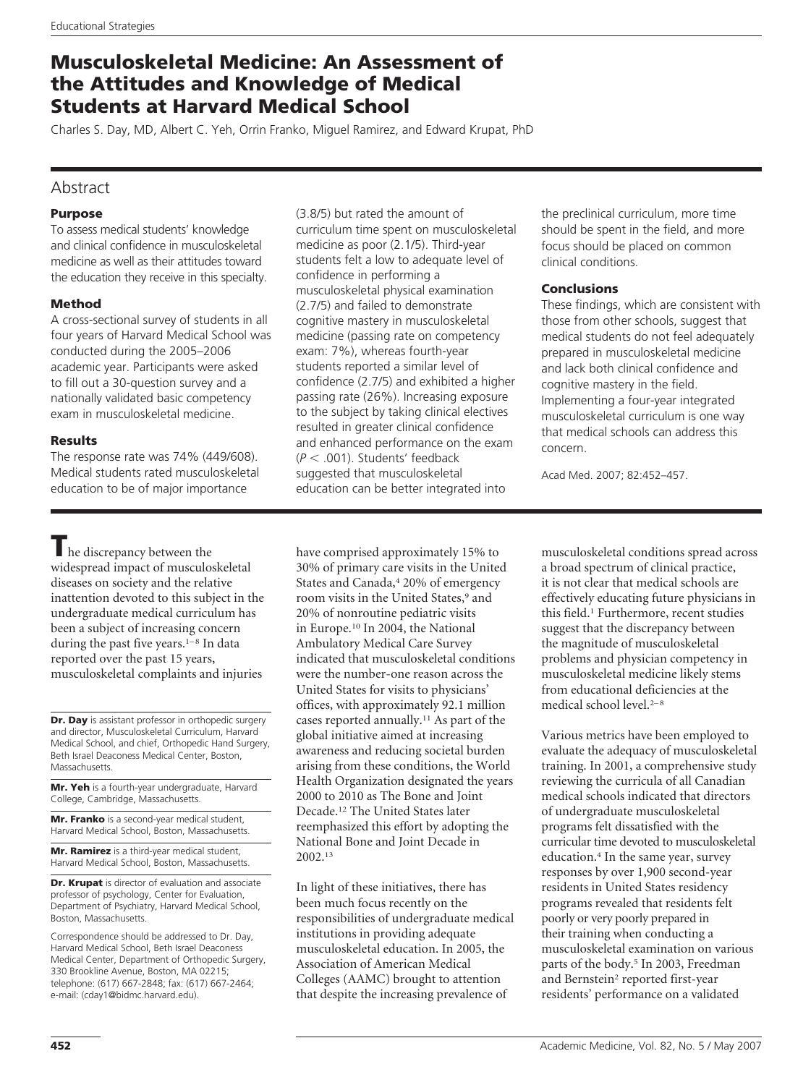# **Musculoskeletal Medicine: An Assessment of the Attitudes and Knowledge of Medical Students at Harvard Medical School**

Charles S. Day, MD, Albert C. Yeh, Orrin Franko, Miguel Ramirez, and Edward Krupat, PhD

## Abstract

## **Purpose**

To assess medical students' knowledge and clinical confidence in musculoskeletal medicine as well as their attitudes toward the education they receive in this specialty.

## **Method**

A cross-sectional survey of students in all four years of Harvard Medical School was conducted during the 2005–2006 academic year. Participants were asked to fill out a 30-question survey and a nationally validated basic competency exam in musculoskeletal medicine.

## **Results**

The response rate was 74% (449/608). Medical students rated musculoskeletal education to be of major importance

**T**he discrepancy between the widespread impact of musculoskeletal diseases on society and the relative inattention devoted to this subject in the undergraduate medical curriculum has been a subject of increasing concern during the past five years. $1-8$  In data reported over the past 15 years, musculoskeletal complaints and injuries

**Dr. Day** is assistant professor in orthopedic surgery and director, Musculoskeletal Curriculum, Harvard Medical School, and chief, Orthopedic Hand Surgery, Beth Israel Deaconess Medical Center, Boston, Massachusetts.

**Mr. Yeh** is a fourth-year undergraduate, Harvard College, Cambridge, Massachusetts.

**Mr. Franko** is a second-year medical student, Harvard Medical School, Boston, Massachusetts.

**Mr. Ramirez** is a third-year medical student, Harvard Medical School, Boston, Massachusetts.

**Dr. Krupat** is director of evaluation and associate professor of psychology, Center for Evaluation, Department of Psychiatry, Harvard Medical School, Boston, Massachusetts.

Correspondence should be addressed to Dr. Day, Harvard Medical School, Beth Israel Deaconess Medical Center, Department of Orthopedic Surgery, 330 Brookline Avenue, Boston, MA 02215; telephone: (617) 667-2848; fax: (617) 667-2464; e-mail: (cday1@bidmc.harvard.edu).

(3.8/5) but rated the amount of curriculum time spent on musculoskeletal medicine as poor (2.1/5). Third-year students felt a low to adequate level of confidence in performing a musculoskeletal physical examination (2.7/5) and failed to demonstrate cognitive mastery in musculoskeletal medicine (passing rate on competency exam: 7%), whereas fourth-year students reported a similar level of confidence (2.7/5) and exhibited a higher passing rate (26%). Increasing exposure to the subject by taking clinical electives resulted in greater clinical confidence and enhanced performance on the exam (*P* .001). Students' feedback suggested that musculoskeletal education can be better integrated into

have comprised approximately 15% to 30% of primary care visits in the United States and Canada,4 20% of emergency room visits in the United States,<sup>9</sup> and 20% of nonroutine pediatric visits in Europe.10 In 2004, the National Ambulatory Medical Care Survey indicated that musculoskeletal conditions were the number-one reason across the United States for visits to physicians' offices, with approximately 92.1 million cases reported annually.11 As part of the global initiative aimed at increasing awareness and reducing societal burden arising from these conditions, the World Health Organization designated the years 2000 to 2010 as The Bone and Joint Decade.12 The United States later reemphasized this effort by adopting the National Bone and Joint Decade in 2002.13

In light of these initiatives, there has been much focus recently on the responsibilities of undergraduate medical institutions in providing adequate musculoskeletal education. In 2005, the Association of American Medical Colleges (AAMC) brought to attention that despite the increasing prevalence of

the preclinical curriculum, more time should be spent in the field, and more focus should be placed on common clinical conditions.

## **Conclusions**

These findings, which are consistent with those from other schools, suggest that medical students do not feel adequately prepared in musculoskeletal medicine and lack both clinical confidence and cognitive mastery in the field. Implementing a four-year integrated musculoskeletal curriculum is one way that medical schools can address this concern.

Acad Med. 2007; 82:452–457.

musculoskeletal conditions spread across a broad spectrum of clinical practice, it is not clear that medical schools are effectively educating future physicians in this field.1 Furthermore, recent studies suggest that the discrepancy between the magnitude of musculoskeletal problems and physician competency in musculoskeletal medicine likely stems from educational deficiencies at the medical school level.2–8

Various metrics have been employed to evaluate the adequacy of musculoskeletal training. In 2001, a comprehensive study reviewing the curricula of all Canadian medical schools indicated that directors of undergraduate musculoskeletal programs felt dissatisfied with the curricular time devoted to musculoskeletal education.4 In the same year, survey responses by over 1,900 second-year residents in United States residency programs revealed that residents felt poorly or very poorly prepared in their training when conducting a musculoskeletal examination on various parts of the body.<sup>5</sup> In 2003, Freedman and Bernstein<sup>2</sup> reported first-year residents' performance on a validated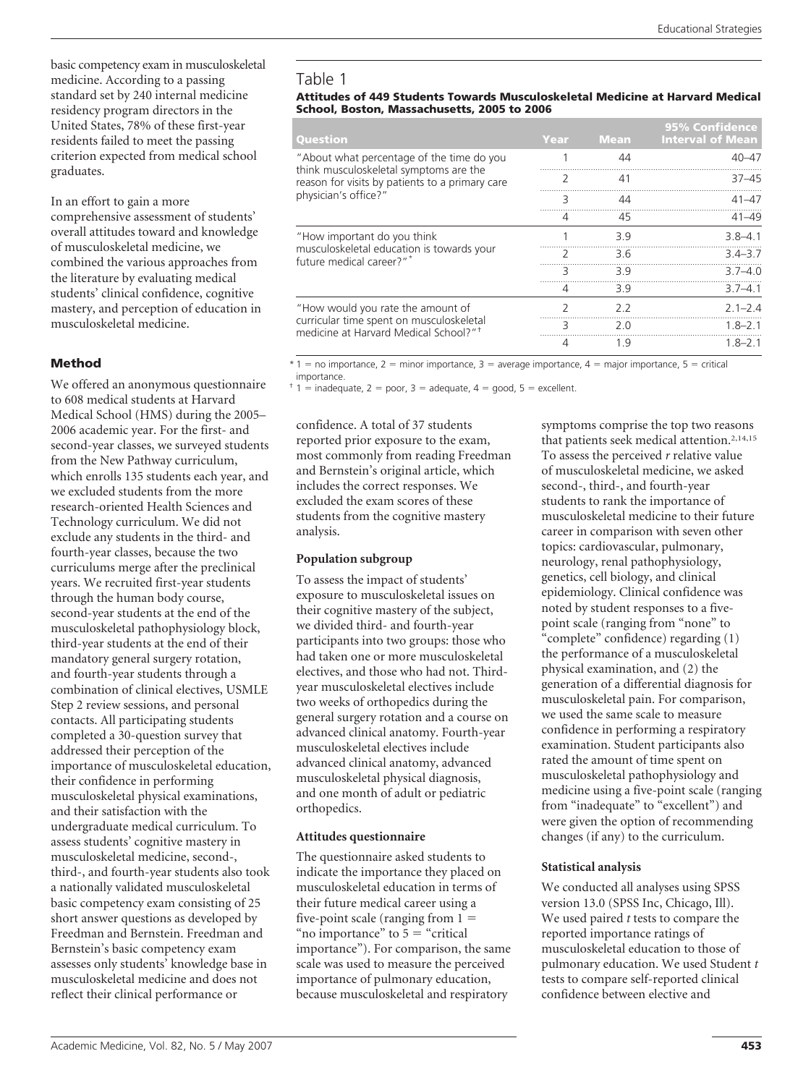basic competency exam in musculoskeletal medicine. According to a passing standard set by 240 internal medicine residency program directors in the United States, 78% of these first-year residents failed to meet the passing criterion expected from medical school graduates.

In an effort to gain a more comprehensive assessment of students' overall attitudes toward and knowledge of musculoskeletal medicine, we combined the various approaches from the literature by evaluating medical students' clinical confidence, cognitive mastery, and perception of education in musculoskeletal medicine.

## **Method**

We offered an anonymous questionnaire to 608 medical students at Harvard Medical School (HMS) during the 2005– 2006 academic year. For the first- and second-year classes, we surveyed students from the New Pathway curriculum, which enrolls 135 students each year, and we excluded students from the more research-oriented Health Sciences and Technology curriculum. We did not exclude any students in the third- and fourth-year classes, because the two curriculums merge after the preclinical years. We recruited first-year students through the human body course, second-year students at the end of the musculoskeletal pathophysiology block, third-year students at the end of their mandatory general surgery rotation, and fourth-year students through a combination of clinical electives, USMLE Step 2 review sessions, and personal contacts. All participating students completed a 30-question survey that addressed their perception of the importance of musculoskeletal education, their confidence in performing musculoskeletal physical examinations, and their satisfaction with the undergraduate medical curriculum. To assess students' cognitive mastery in musculoskeletal medicine, second-, third-, and fourth-year students also took a nationally validated musculoskeletal basic competency exam consisting of 25 short answer questions as developed by Freedman and Bernstein. Freedman and Bernstein's basic competency exam assesses only students' knowledge base in musculoskeletal medicine and does not reflect their clinical performance or

## Table 1

#### **Attitudes of 449 Students Towards Musculoskeletal Medicine at Harvard Medical School, Boston, Massachusetts, 2005 to 2006**

| Question                                                                                                                                                       | Year | <b>Mean</b> | <b>95% Confidence</b><br><b>Interval of Mean</b> |
|----------------------------------------------------------------------------------------------------------------------------------------------------------------|------|-------------|--------------------------------------------------|
| "About what percentage of the time do you<br>think musculoskeletal symptoms are the<br>reason for visits by patients to a primary care<br>physician's office?" |      | 44          | $40 - 47$                                        |
|                                                                                                                                                                | 2    | 41          | $37 - 45$                                        |
|                                                                                                                                                                | 3    | 44          | $41 - 47$                                        |
|                                                                                                                                                                | 4    | 45          | $41 - 49$                                        |
| "How important do you think<br>musculoskeletal education is towards your<br>future medical career?"*                                                           |      | 3.9         | $3.8 - 4.1$                                      |
|                                                                                                                                                                |      | 3.6         | $3.4 - 3.7$                                      |
|                                                                                                                                                                | 3    | 39          | $3.7 - 4.0$                                      |
|                                                                                                                                                                | 4    | 3.9         | $3.7 - 4.1$                                      |
| "How would you rate the amount of<br>curricular time spent on musculoskeletal<br>medicine at Harvard Medical School?" <sup>+</sup>                             | 7    | 22          | $2.1 - 2.4$                                      |
|                                                                                                                                                                | 3    | 2 O         | $1.8 - 2.1$                                      |
|                                                                                                                                                                | 4    | 1.9         | $1.8 - 2.1$                                      |

 $*1$  = no importance, 2 = minor importance, 3 = average importance, 4 = major importance, 5 = critical importance.

 $\pm$  1 = inadequate, 2 = poor, 3 = adequate, 4 = good, 5 = excellent.

confidence. A total of 37 students reported prior exposure to the exam, most commonly from reading Freedman and Bernstein's original article, which includes the correct responses. We excluded the exam scores of these students from the cognitive mastery analysis.

## **Population subgroup**

To assess the impact of students' exposure to musculoskeletal issues on their cognitive mastery of the subject, we divided third- and fourth-year participants into two groups: those who had taken one or more musculoskeletal electives, and those who had not. Thirdyear musculoskeletal electives include two weeks of orthopedics during the general surgery rotation and a course on advanced clinical anatomy. Fourth-year musculoskeletal electives include advanced clinical anatomy, advanced musculoskeletal physical diagnosis, and one month of adult or pediatric orthopedics.

## **Attitudes questionnaire**

The questionnaire asked students to indicate the importance they placed on musculoskeletal education in terms of their future medical career using a five-point scale (ranging from  $1 =$ "no importance" to  $5$  = "critical" importance"). For comparison, the same scale was used to measure the perceived importance of pulmonary education, because musculoskeletal and respiratory

symptoms comprise the top two reasons that patients seek medical attention.<sup>2,14,15</sup> To assess the perceived *r* relative value of musculoskeletal medicine, we asked second-, third-, and fourth-year students to rank the importance of musculoskeletal medicine to their future career in comparison with seven other topics: cardiovascular, pulmonary, neurology, renal pathophysiology, genetics, cell biology, and clinical epidemiology. Clinical confidence was noted by student responses to a fivepoint scale (ranging from "none" to "complete" confidence) regarding (1) the performance of a musculoskeletal physical examination, and (2) the generation of a differential diagnosis for musculoskeletal pain. For comparison, we used the same scale to measure confidence in performing a respiratory examination. Student participants also rated the amount of time spent on musculoskeletal pathophysiology and medicine using a five-point scale (ranging from "inadequate" to "excellent") and were given the option of recommending changes (if any) to the curriculum.

## **Statistical analysis**

We conducted all analyses using SPSS version 13.0 (SPSS Inc, Chicago, Ill). We used paired *t* tests to compare the reported importance ratings of musculoskeletal education to those of pulmonary education. We used Student *t* tests to compare self-reported clinical confidence between elective and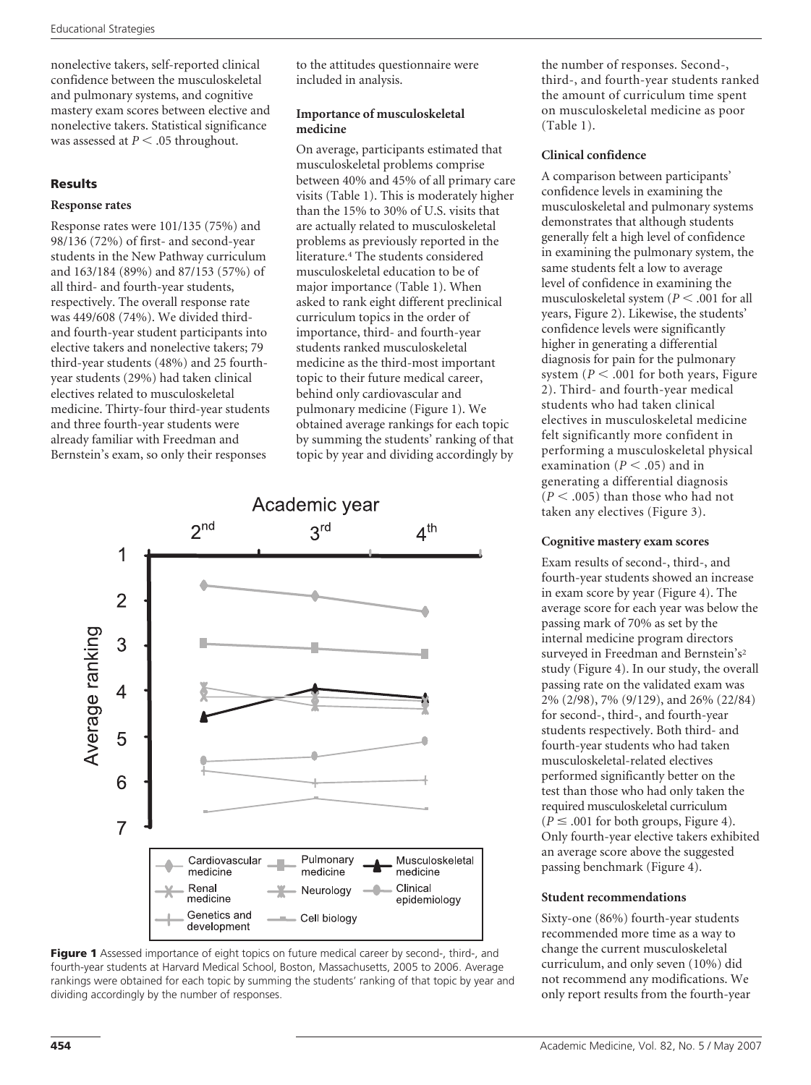nonelective takers, self-reported clinical confidence between the musculoskeletal and pulmonary systems, and cognitive mastery exam scores between elective and nonelective takers. Statistical significance was assessed at  $P < .05$  throughout.

## **Results**

## **Response rates**

Response rates were 101/135 (75%) and 98/136 (72%) of first- and second-year students in the New Pathway curriculum and 163/184 (89%) and 87/153 (57%) of all third- and fourth-year students, respectively. The overall response rate was 449/608 (74%). We divided thirdand fourth-year student participants into elective takers and nonelective takers; 79 third-year students (48%) and 25 fourthyear students (29%) had taken clinical electives related to musculoskeletal medicine. Thirty-four third-year students and three fourth-year students were already familiar with Freedman and Bernstein's exam, so only their responses

to the attitudes questionnaire were included in analysis.

## **Importance of musculoskeletal medicine**

On average, participants estimated that musculoskeletal problems comprise between 40% and 45% of all primary care visits (Table 1). This is moderately higher than the 15% to 30% of U.S. visits that are actually related to musculoskeletal problems as previously reported in the literature.4 The students considered musculoskeletal education to be of major importance (Table 1). When asked to rank eight different preclinical curriculum topics in the order of importance, third- and fourth-year students ranked musculoskeletal medicine as the third-most important topic to their future medical career, behind only cardiovascular and pulmonary medicine (Figure 1). We obtained average rankings for each topic by summing the students' ranking of that topic by year and dividing accordingly by





the number of responses. Second-, third-, and fourth-year students ranked the amount of curriculum time spent on musculoskeletal medicine as poor (Table 1).

## **Clinical confidence**

A comparison between participants' confidence levels in examining the musculoskeletal and pulmonary systems demonstrates that although students generally felt a high level of confidence in examining the pulmonary system, the same students felt a low to average level of confidence in examining the musculoskeletal system ( $P < .001$  for all years, Figure 2). Likewise, the students' confidence levels were significantly higher in generating a differential diagnosis for pain for the pulmonary system ( $P < .001$  for both years, Figure 2). Third- and fourth-year medical students who had taken clinical electives in musculoskeletal medicine felt significantly more confident in performing a musculoskeletal physical examination ( $P < .05$ ) and in generating a differential diagnosis  $(P < .005)$  than those who had not taken any electives (Figure 3).

## **Cognitive mastery exam scores**

Exam results of second-, third-, and fourth-year students showed an increase in exam score by year (Figure 4). The average score for each year was below the passing mark of 70% as set by the internal medicine program directors surveyed in Freedman and Bernstein's<sup>2</sup> study (Figure 4). In our study, the overall passing rate on the validated exam was 2% (2/98), 7% (9/129), and 26% (22/84) for second-, third-, and fourth-year students respectively. Both third- and fourth-year students who had taken musculoskeletal-related electives performed significantly better on the test than those who had only taken the required musculoskeletal curriculum  $(P \leq .001$  for both groups, Figure 4). Only fourth-year elective takers exhibited an average score above the suggested passing benchmark (Figure 4).

## **Student recommendations**

Sixty-one (86%) fourth-year students recommended more time as a way to change the current musculoskeletal curriculum, and only seven (10%) did not recommend any modifications. We only report results from the fourth-year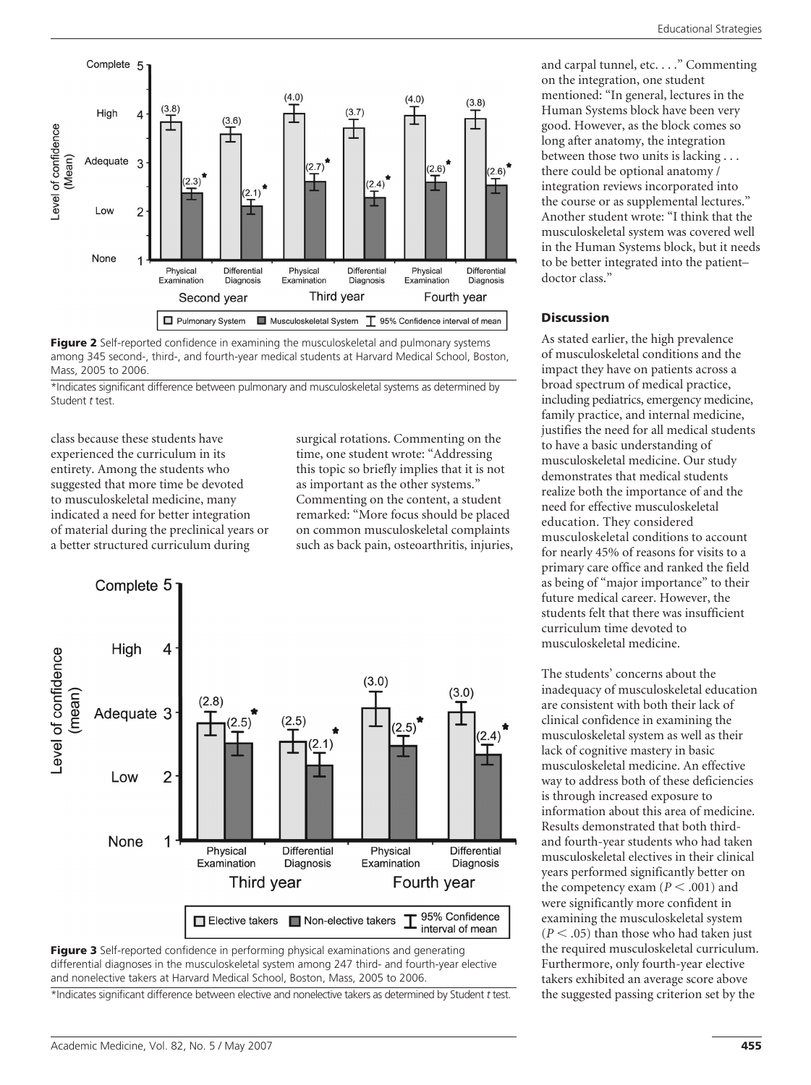





\*Indicates significant difference between pulmonary and musculoskeletal systems as determined by Student *t* test.

class because these students have experienced the curriculum in its entirety. Among the students who suggested that more time be devoted to musculoskeletal medicine, many indicated a need for better integration of material during the preclinical years or a better structured curriculum during

evel of confidence (Mean)

> surgical rotations. Commenting on the time, one student wrote: "Addressing this topic so briefly implies that it is not as important as the other systems." Commenting on the content, a student remarked: "More focus should be placed on common musculoskeletal complaints such as back pain, osteoarthritis, injuries,





\*Indicates significant difference between elective and nonelective takers as determined by Student *t* test.

and carpal tunnel, etc. . . ." Commenting on the integration, one student mentioned: "In general, lectures in the Human Systems block have been very good. However, as the block comes so long after anatomy, the integration between those two units is lacking . . . there could be optional anatomy / integration reviews incorporated into the course or as supplemental lectures." Another student wrote: "I think that the musculoskeletal system was covered well in the Human Systems block, but it needs to be better integrated into the patient– doctor class."

#### **Discussion**

As stated earlier, the high prevalence of musculoskeletal conditions and the impact they have on patients across a broad spectrum of medical practice, including pediatrics, emergency medicine, family practice, and internal medicine, justifies the need for all medical students to have a basic understanding of musculoskeletal medicine. Our study demonstrates that medical students realize both the importance of and the need for effective musculoskeletal education. They considered musculoskeletal conditions to account for nearly 45% of reasons for visits to a primary care office and ranked the field as being of "major importance" to their future medical career. However, the students felt that there was insufficient curriculum time devoted to musculoskeletal medicine.

The students' concerns about the inadequacy of musculoskeletal education are consistent with both their lack of clinical confidence in examining the musculoskeletal system as well as their lack of cognitive mastery in basic musculoskeletal medicine. An effective way to address both of these deficiencies is through increased exposure to information about this area of medicine. Results demonstrated that both thirdand fourth-year students who had taken musculoskeletal electives in their clinical years performed significantly better on the competency exam  $(P < .001)$  and were significantly more confident in examining the musculoskeletal system  $(P < .05)$  than those who had taken just the required musculoskeletal curriculum. Furthermore, only fourth-year elective takers exhibited an average score above the suggested passing criterion set by the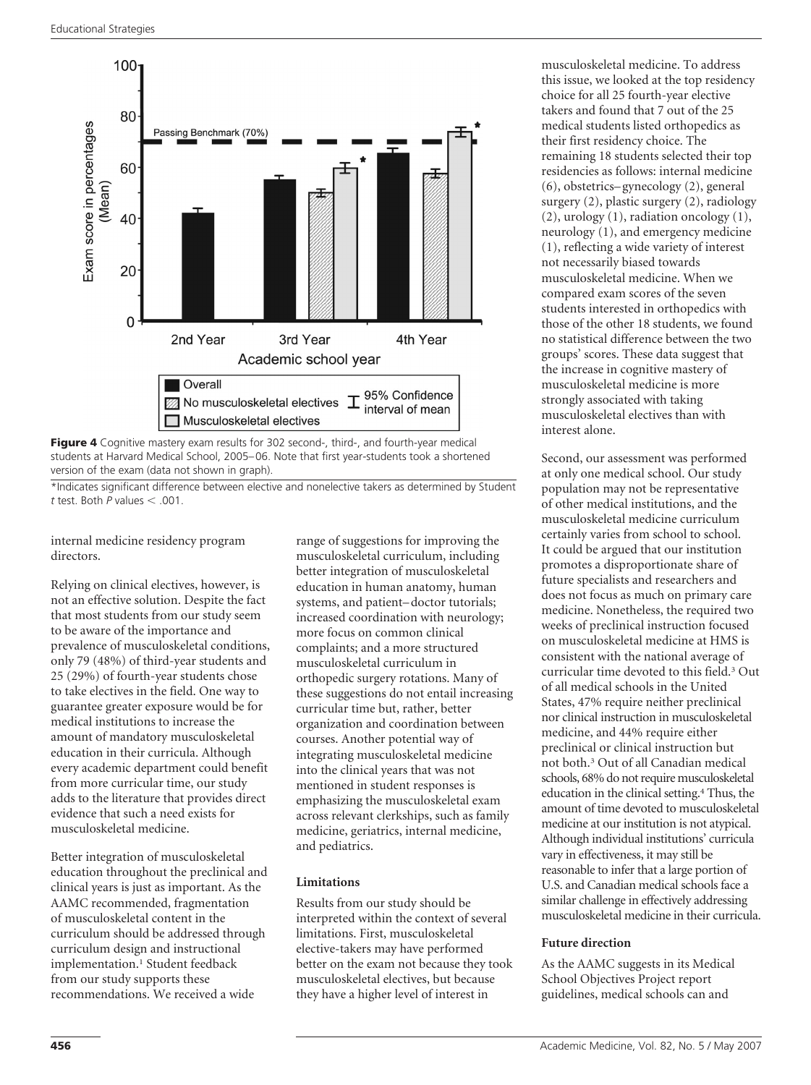

**Figure 4** Cognitive mastery exam results for 302 second-, third-, and fourth-year medical students at Harvard Medical School, 2005– 06. Note that first year-students took a shortened version of the exam (data not shown in graph).

\*Indicates significant difference between elective and nonelective takers as determined by Student  $t$  test. Both  $P$  values  $< .001$ .

internal medicine residency program directors.

Relying on clinical electives, however, is not an effective solution. Despite the fact that most students from our study seem to be aware of the importance and prevalence of musculoskeletal conditions, only 79 (48%) of third-year students and 25 (29%) of fourth-year students chose to take electives in the field. One way to guarantee greater exposure would be for medical institutions to increase the amount of mandatory musculoskeletal education in their curricula. Although every academic department could benefit from more curricular time, our study adds to the literature that provides direct evidence that such a need exists for musculoskeletal medicine.

Better integration of musculoskeletal education throughout the preclinical and clinical years is just as important. As the AAMC recommended, fragmentation of musculoskeletal content in the curriculum should be addressed through curriculum design and instructional implementation.<sup>1</sup> Student feedback from our study supports these recommendations. We received a wide

range of suggestions for improving the musculoskeletal curriculum, including better integration of musculoskeletal education in human anatomy, human systems, and patient– doctor tutorials; increased coordination with neurology; more focus on common clinical complaints; and a more structured musculoskeletal curriculum in orthopedic surgery rotations. Many of these suggestions do not entail increasing curricular time but, rather, better organization and coordination between courses. Another potential way of integrating musculoskeletal medicine into the clinical years that was not mentioned in student responses is emphasizing the musculoskeletal exam across relevant clerkships, such as family medicine, geriatrics, internal medicine, and pediatrics.

## **Limitations**

Results from our study should be interpreted within the context of several limitations. First, musculoskeletal elective-takers may have performed better on the exam not because they took musculoskeletal electives, but because they have a higher level of interest in

musculoskeletal medicine. To address this issue, we looked at the top residency choice for all 25 fourth-year elective takers and found that 7 out of the 25 medical students listed orthopedics as their first residency choice. The remaining 18 students selected their top residencies as follows: internal medicine (6), obstetrics– gynecology (2), general surgery (2), plastic surgery (2), radiology (2), urology (1), radiation oncology (1), neurology (1), and emergency medicine (1), reflecting a wide variety of interest not necessarily biased towards musculoskeletal medicine. When we compared exam scores of the seven students interested in orthopedics with those of the other 18 students, we found no statistical difference between the two groups' scores. These data suggest that the increase in cognitive mastery of musculoskeletal medicine is more strongly associated with taking musculoskeletal electives than with interest alone.

Second, our assessment was performed at only one medical school. Our study population may not be representative of other medical institutions, and the musculoskeletal medicine curriculum certainly varies from school to school. It could be argued that our institution promotes a disproportionate share of future specialists and researchers and does not focus as much on primary care medicine. Nonetheless, the required two weeks of preclinical instruction focused on musculoskeletal medicine at HMS is consistent with the national average of curricular time devoted to this field.3 Out of all medical schools in the United States, 47% require neither preclinical nor clinical instruction in musculoskeletal medicine, and 44% require either preclinical or clinical instruction but not both.3 Out of all Canadian medical schools, 68% do not require musculoskeletal education in the clinical setting.4 Thus, the amount of time devoted to musculoskeletal medicine at our institution is not atypical. Although individual institutions' curricula vary in effectiveness, it may still be reasonable to infer that a large portion of U.S. and Canadian medical schools face a similar challenge in effectively addressing musculoskeletal medicine in their curricula.

## **Future direction**

As the AAMC suggests in its Medical School Objectives Project report guidelines, medical schools can and